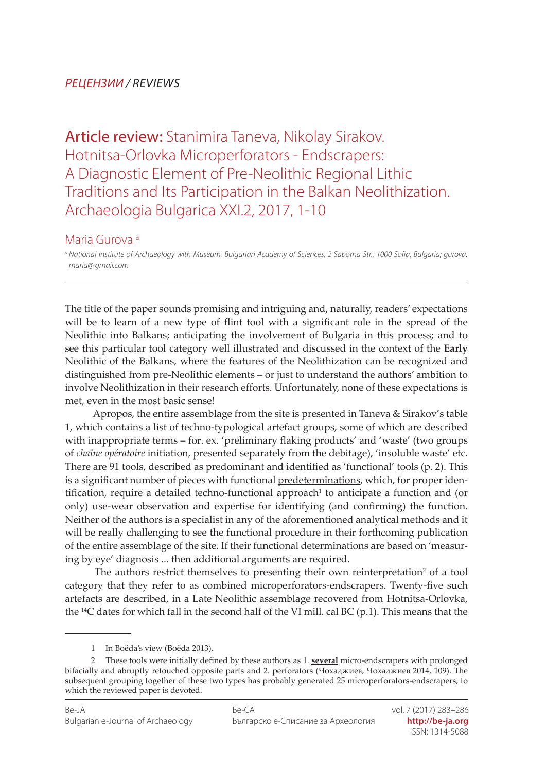## *РЕЦЕНЗИИ / REVIEWS*

Article review: Stanimira Taneva, Nikolay Sirakov. Hotnitsa-Orlovka Microperforators - Endscrapers: A Diagnostic Element of Pre-Neolithic Regional Lithic Traditions and Its Participation in the Balkan Neolithization. Archaeologia Bulgarica XXI.2, 2017, 1-10

## Maria Gurova a

*<sup>a</sup> National Institute of Archaeology with Museum, Bulgarian Academy of Sciences, 2 Saborna Str., 1000 Sofia, Bulgaria; gurova. maria@ gmail.com*

The title of the paper sounds promising and intriguing and, naturally, readers' expectations will be to learn of a new type of flint tool with a significant role in the spread of the Neolithic into Balkans; anticipating the involvement of Bulgaria in this process; and to see this particular tool category well illustrated and discussed in the context of the **Early** Neolithic of the Balkans, where the features of the Neolithization can be recognized and distinguished from pre-Neolithic elements – or just to understand the authors' ambition to involve Neolithization in their research efforts. Unfortunately, none of these expectations is met, even in the most basic sense!

 Apropos, the entire assemblage from the site is presented in Taneva & Sirakov's table 1, which contains a list of techno-typological artefact groups, some of which are described with inappropriate terms – for. ex. 'preliminary flaking products' and 'waste' (two groups of *chaîne opératoire* initiation, presented separately from the debitage), 'insoluble waste' etc. There are 91 tools, described as predominant and identified as 'functional' tools (p. 2). This is a significant number of pieces with functional predeterminations, which, for proper identification, require a detailed techno-functional approach<sup>1</sup> to anticipate a function and (or only) use-wear observation and expertise for identifying (and confirming) the function. Neither of the authors is a specialist in any of the aforementioned analytical methods and it will be really challenging to see the functional procedure in their forthcoming publication of the entire assemblage of the site. If their functional determinations are based on 'measuring by eye' diagnosis ... then additional arguments are required.

The authors restrict themselves to presenting their own reinterpretation<sup>2</sup> of a tool category that they refer to as combined microperforators-endscrapers. Twenty-five such artefacts are described, in a Late Neolithic assemblage recovered from Hotnitsa-Orlovka, the <sup>14</sup>C dates for which fall in the second half of the VI mill. cal BC (p.1). This means that the

<sup>1</sup> In Boëda's view (Boëda 2013).

<sup>2</sup> These tools were initially defined by these authors as 1. **several** micro-endscrapers with prolonged bifacially and abruptly retouched opposite parts and 2. perforators (Чохаджиев, Чохаджиев 2014, 109). The subsequent grouping together of these two types has probably generated 25 microperforators-еndscrapers, to which the reviewed paper is devoted.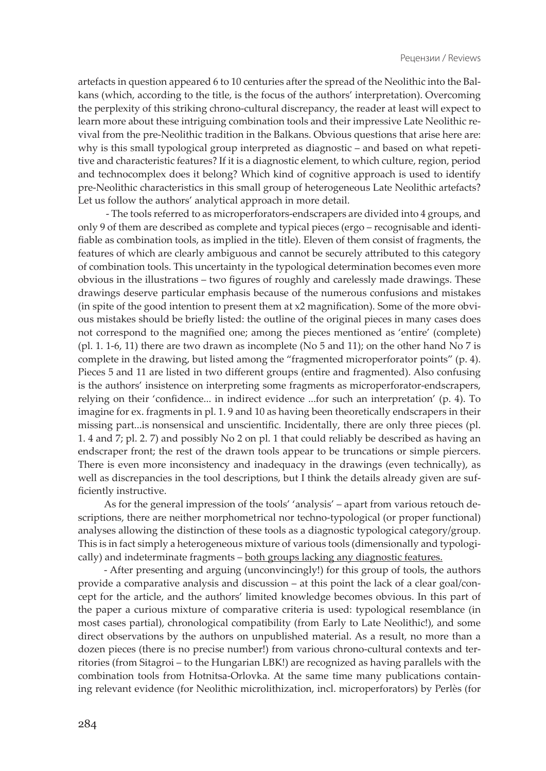artefacts in question appeared 6 to 10 centuries after the spread of the Neolithic into the Balkans (which, according to the title, is the focus of the authors' interpretation). Overcoming the perplexity of this striking chrono-cultural discrepancy, the reader at least will expect to learn more about these intriguing combination tools and their impressive Late Neolithic revival from the pre-Neolithic tradition in the Balkans. Obvious questions that arise here are: why is this small typological group interpreted as diagnostic – and based on what repetitive and characteristic features? If it is a diagnostic element, to which culture, region, period and technocomplex does it belong? Which kind of cognitive approach is used to identify pre-Neolithic characteristics in this small group of heterogeneous Late Neolithic artefacts? Let us follow the authors' analytical approach in more detail.

 - The tools referred to as microperforators-endscrapers are divided into 4 groups, and only 9 of them are described as complete and typical pieces (ergo – recognisable and identifiable as combination tools, as implied in the title). Eleven of them consist of fragments, the features of which are clearly ambiguous and cannot be securely attributed to this category of combination tools. This uncertainty in the typological determination becomes even more obvious in the illustrations – two figures of roughly and carelessly made drawings. These drawings deserve particular emphasis because of the numerous confusions and mistakes (in spite of the good intention to present them at x2 magnification). Some of the more obvious mistakes should be briefly listed: the outline of the original pieces in many cases does not correspond to the magnified one; among the pieces mentioned as 'entire' (complete) (pl. 1. 1-6, 11) there are two drawn as incomplete (No 5 and 11); on the other hand No 7 is complete in the drawing, but listed among the "fragmented microperforator points" (p. 4). Pieces 5 and 11 are listed in two different groups (entire and fragmented). Also confusing is the authors' insistence on interpreting some fragments as microperforator-endscrapers, relying on their 'confidence... in indirect evidence ...for such an interpretation' (p. 4). To imagine for ex. fragments in pl. 1. 9 and 10 as having been theoretically endscrapers in their missing part...is nonsensical and unscientific. Incidentally, there are only three pieces (pl. 1. 4 and 7; pl. 2. 7) and possibly No 2 on pl. 1 that could reliably be described as having an endscraper front; the rest of the drawn tools appear to be truncations or simple piercers. There is even more inconsistency and inadequacy in the drawings (even technically), as well as discrepancies in the tool descriptions, but I think the details already given are sufficiently instructive.

As for the general impression of the tools' 'analysis' – apart from various retouch descriptions, there are neither morphometrical nor techno-typological (or proper functional) analyses allowing the distinction of these tools as a diagnostic typological category/group. This is in fact simply a heterogeneous mixture of various tools (dimensionally and typologically) and indeterminate fragments – both groups lacking any diagnostic features.

- After presenting and arguing (unconvincingly!) for this group of tools, the authors provide a comparative analysis and discussion – at this point the lack of a clear goal/concept for the article, and the authors' limited knowledge becomes obvious. In this part of the paper a curious mixture of comparative criteria is used: typological resemblance (in most cases partial), chronological compatibility (from Early to Late Neolithic!), and some direct observations by the authors on unpublished material. As a result, no more than a dozen pieces (there is no precise number!) from various chrono-cultural contexts and territories (from Sitagroi – to the Hungarian LBK!) are recognized as having parallels with the combination tools from Hotnitsa-Orlovka. At the same time many publications containing relevant evidence (for Neolithic microlithization, incl. microperforators) by Perlès (for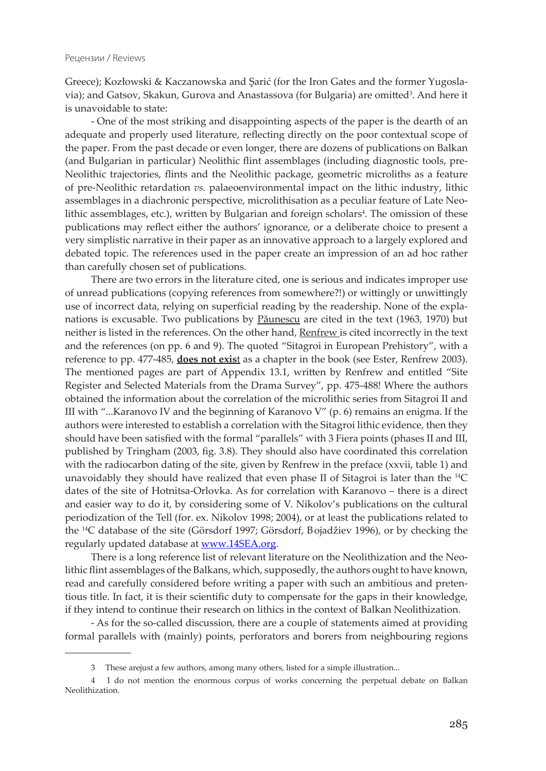Greece); Kozłowski & Kaczanowska and Şarić (for the Iron Gates and the former Yugoslavia); and Gatsov, Skakun, Gurova and Anastassova (for Bulgaria) are omitted<sup>3</sup>. And here it is unavoidable to state:

- One of the most striking and disappointing aspects of the paper is the dearth of an adequate and properly used literature, reflecting directly on the poor contextual scope of the paper. From the past decade or even longer, there are dozens of publications on Balkan (and Bulgarian in particular) Neolithic flint assemblages (including diagnostic tools, pre-Neolithic trajectories, flints and the Neolithic package, geometric microliths as a feature of pre-Neolithic retardation *vs.* palaeoenvironmental impact on the lithic industry, lithic assemblages in a diachronic perspective, microlithisation as a peculiar feature of Late Neolithic assemblages, etc.), written by Bulgarian and foreign scholars<sup>4</sup>. The omission of these publications may reflect either the authors' ignorance, or a deliberate choice to present a very simplistic narrative in their paper as an innovative approach to a largely explored and debated topic. The references used in the paper create an impression of an ad hoc rather than carefully chosen set of publications.

There are two errors in the literature cited, one is serious and indicates improper use of unread publications (copying references from somewhere?!) or wittingly or unwittingly use of incorrect data, relying on superficial reading by the readership. None of the explanations is excusable. Two publications by Păunescu are cited in the text (1963, 1970) but neither is listed in the references. On the other hand, Renfrew is cited incorrectly in the text and the references (on pp. 6 and 9). The quoted "Sitagroi in European Prehistory", with a reference to pp. 477-485, **does not exis**t as a chapter in the book (see Ester, Renfrew 2003). The mentioned pages are part of Appendix 13.1, written by Renfrew and entitled "Site Register and Selected Materials from the Drama Survey", pp. 475-488! Where the authors obtained the information about the correlation of the microlithic series from Sitagroi II and III with "...Karanovo IV and the beginning of Karanovo V" (p. 6) remains an enigma. If the authors were interested to establish a correlation with the Sitagroi lithic evidence, then they should have been satisfied with the formal "parallels" with 3 Fiera points (phases II and III, published by Tringham (2003, fig. 3.8). They should also have coordinated this correlation with the radiocarbon dating of the site, given by Renfrew in the preface (xxvii, table 1) and unavoidably they should have realized that even phase II of Sitagroi is later than the 14C dates of the site of Hotnitsa-Orlovka. As for correlation with Karanovo – there is a direct and easier way to do it, by considering some of V. Nikolov's publications on the cultural periodization of the Tell (for. ex. Nikolov 1998; 2004), or at least the publications related to the 14C database of the site (Görsdorf 1997; Görsdorf, Bojadžiev 1996), or by checking the regularly updated database at [www.14SEA.org](http://www.14sea.org).

There is a long reference list of relevant literature on the Neolithization and the Neolithic flint assemblages of the Balkans, which, supposedly, the authors ought to have known, read and carefully considered before writing a paper with such an ambitious and pretentious title. In fact, it is their scientific duty to compensate for the gaps in their knowledge, if they intend to continue their research on lithics in the context of Balkan Neolithization.

- As for the so-called discussion, there are a couple of statements aimed at providing formal parallels with (mainly) points, perforators and borers from neighbouring regions

<sup>3</sup> These arejust a few authors, among many others, listed for a simple illustration...

<sup>4</sup> I do not mention the enormous corpus of works concerning the perpetual debate on Balkan Neolithization.